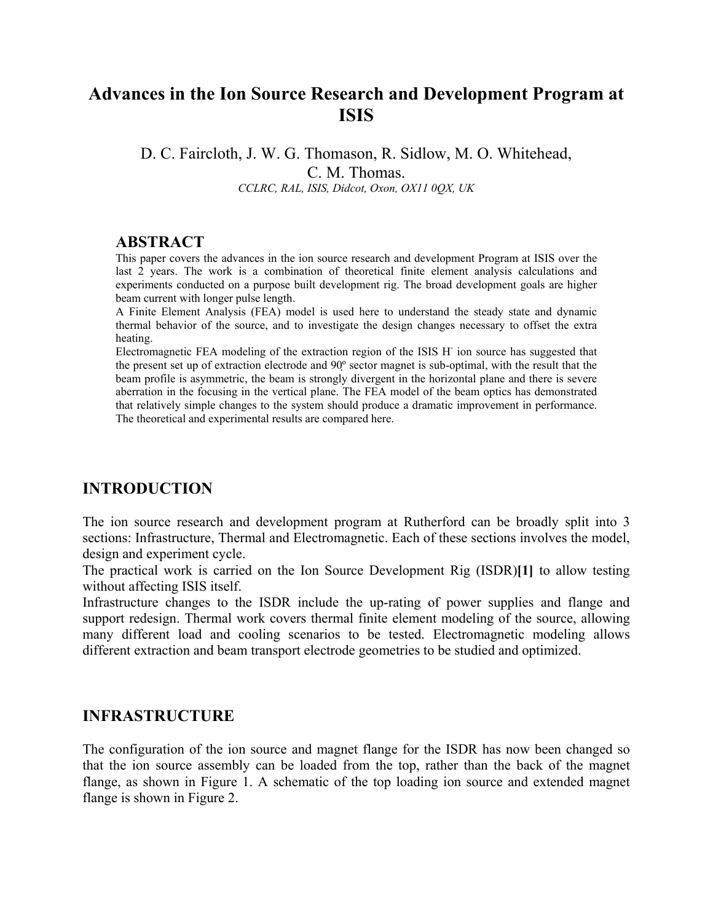# **Advances in the Ion Source Research and Development Program at ISIS**

D. C. Faircloth, J. W. G. Thomason, R. Sidlow, M. O. Whitehead, C. M. Thomas. *CCLRC, RAL, ISIS, Didcot, Oxon, OX11 0QX, UK*

#### **ABSTRACT**

This paper covers the advances in the ion source research and development Program at ISIS over the last 2 years. The work is a combination of theoretical finite element analysis calculations and experiments conducted on a purpose built development rig. The broad development goals are higher beam current with longer pulse length.

A Finite Element Analysis (FEA) model is used here to understand the steady state and dynamic thermal behavior of the source, and to investigate the design changes necessary to offset the extra heating.

Electromagnetic FEA modeling of the extraction region of the ISIS H<sup>-</sup> ion source has suggested that the present set up of extraction electrode and 90º sector magnet is sub-optimal, with the result that the beam profile is asymmetric, the beam is strongly divergent in the horizontal plane and there is severe aberration in the focusing in the vertical plane. The FEA model of the beam optics has demonstrated that relatively simple changes to the system should produce a dramatic improvement in performance. The theoretical and experimental results are compared here.

### **INTRODUCTION**

The ion source research and development program at Rutherford can be broadly split into 3 sections: Infrastructure, Thermal and Electromagnetic. Each of these sections involves the model, design and experiment cycle.

The practical work is carried on the Ion Source Development Rig (ISDR)**[1]** to allow testing without affecting ISIS itself.

Infrastructure changes to the ISDR include the up-rating of power supplies and flange and support redesign. Thermal work covers thermal finite element modeling of the source, allowing many different load and cooling scenarios to be tested. Electromagnetic modeling allows different extraction and beam transport electrode geometries to be studied and optimized.

#### **INFRASTRUCTURE**

The configuration of the ion source and magnet flange for the ISDR has now been changed so that the ion source assembly can be loaded from the top, rather than the back of the magnet flange, as shown in Figure 1. A schematic of the top loading ion source and extended magnet flange is shown in Figure 2.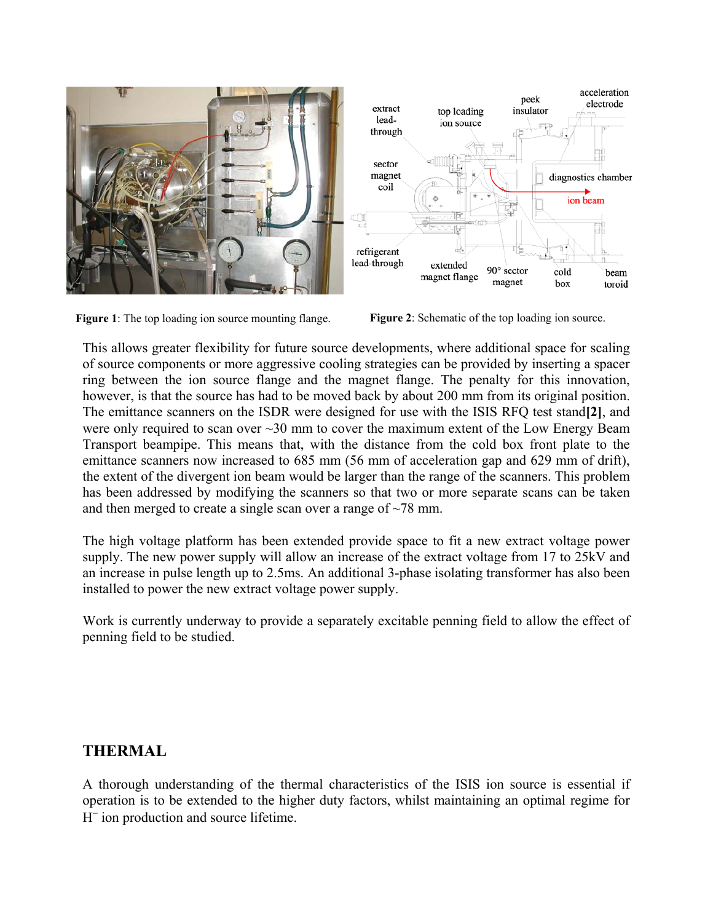

Figure 1: The top loading ion source mounting flange. Figure 2: Schematic of the top loading ion source.

This allows greater flexibility for future source developments, where additional space for scaling of source components or more aggressive cooling strategies can be provided by inserting a spacer ring between the ion source flange and the magnet flange. The penalty for this innovation, however, is that the source has had to be moved back by about 200 mm from its original position. The emittance scanners on the ISDR were designed for use with the ISIS RFQ test stand**[2]**, and were only required to scan over  $\sim$ 30 mm to cover the maximum extent of the Low Energy Beam Transport beampipe. This means that, with the distance from the cold box front plate to the emittance scanners now increased to 685 mm (56 mm of acceleration gap and 629 mm of drift), the extent of the divergent ion beam would be larger than the range of the scanners. This problem has been addressed by modifying the scanners so that two or more separate scans can be taken and then merged to create a single scan over a range of  $\sim$ 78 mm.

The high voltage platform has been extended provide space to fit a new extract voltage power supply. The new power supply will allow an increase of the extract voltage from 17 to 25kV and an increase in pulse length up to 2.5ms. An additional 3-phase isolating transformer has also been installed to power the new extract voltage power supply.

Work is currently underway to provide a separately excitable penning field to allow the effect of penning field to be studied.

## **THERMAL**

A thorough understanding of the thermal characteristics of the ISIS ion source is essential if operation is to be extended to the higher duty factors, whilst maintaining an optimal regime for H<sup>−</sup> ion production and source lifetime.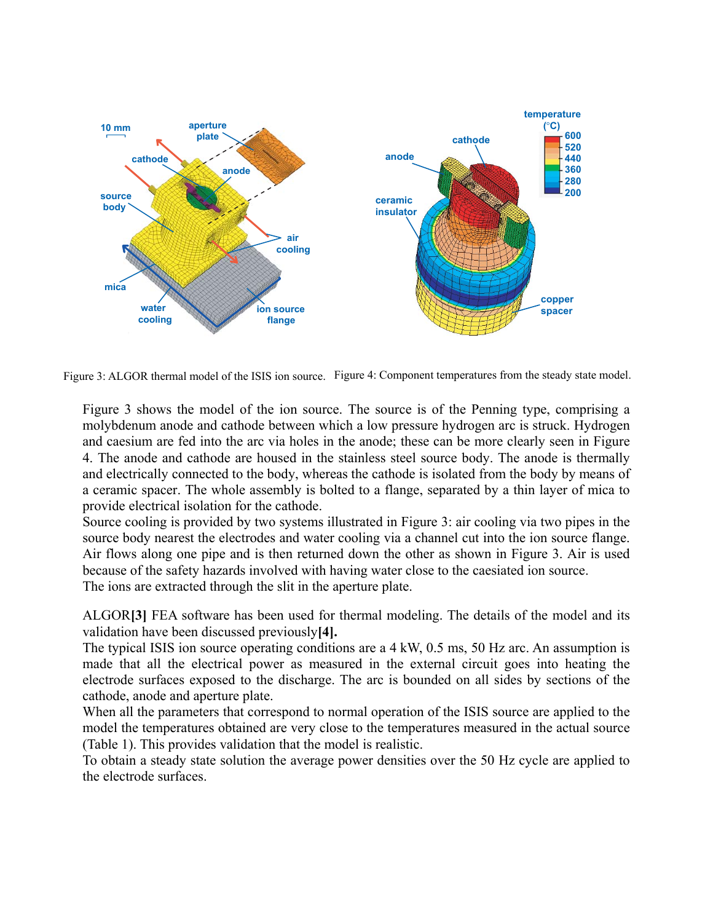

Figure 3: ALGOR thermal model of the ISIS ion source. Figure 4: Component temperatures from the steady state model.

Figure 3 shows the model of the ion source. The source is of the Penning type, comprising a molybdenum anode and cathode between which a low pressure hydrogen arc is struck. Hydrogen and caesium are fed into the arc via holes in the anode; these can be more clearly seen in Figure 4. The anode and cathode are housed in the stainless steel source body. The anode is thermally and electrically connected to the body, whereas the cathode is isolated from the body by means of a ceramic spacer. The whole assembly is bolted to a flange, separated by a thin layer of mica to provide electrical isolation for the cathode.

Source cooling is provided by two systems illustrated in Figure 3: air cooling via two pipes in the source body nearest the electrodes and water cooling via a channel cut into the ion source flange. Air flows along one pipe and is then returned down the other as shown in Figure 3. Air is used because of the safety hazards involved with having water close to the caesiated ion source. The ions are extracted through the slit in the aperture plate.

ALGOR**[3]** FEA software has been used for thermal modeling. The details of the model and its validation have been discussed previously**[4].** 

The typical ISIS ion source operating conditions are a 4 kW, 0.5 ms, 50 Hz arc. An assumption is made that all the electrical power as measured in the external circuit goes into heating the electrode surfaces exposed to the discharge. The arc is bounded on all sides by sections of the cathode, anode and aperture plate.

When all the parameters that correspond to normal operation of the ISIS source are applied to the model the temperatures obtained are very close to the temperatures measured in the actual source (Table 1). This provides validation that the model is realistic.

To obtain a steady state solution the average power densities over the 50 Hz cycle are applied to the electrode surfaces.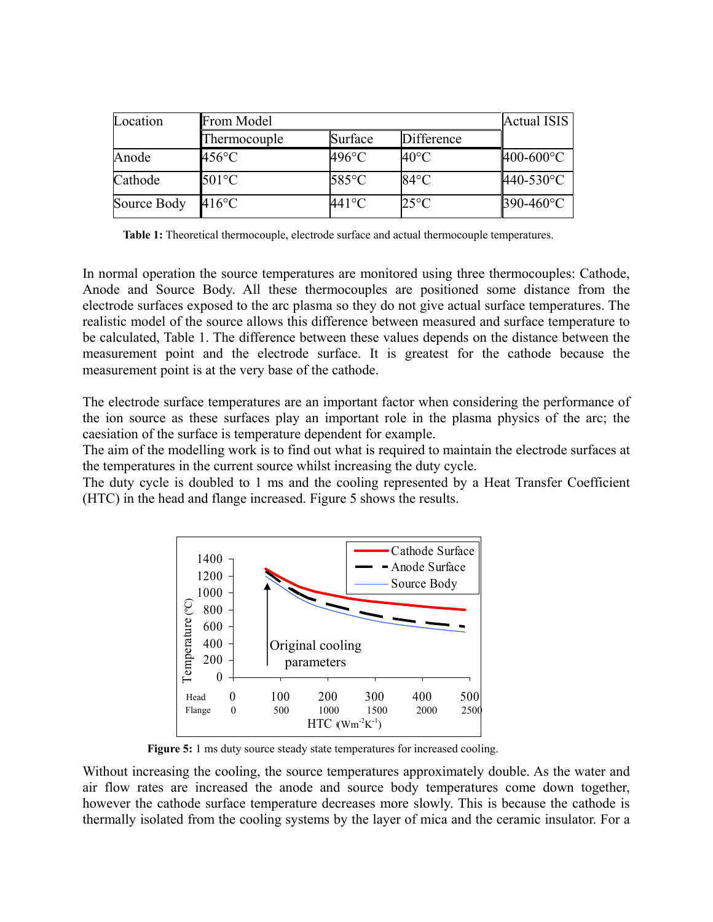| Location    | From Model          | <b>Actual ISIS</b> |                |           |
|-------------|---------------------|--------------------|----------------|-----------|
|             | <b>Thermocouple</b> | Surface            | Difference     |           |
| Anode       | 456°C               | 496°C              | 40°C           | 400-600°C |
| Cathode     | $501^{\circ}$ C     | $585^{\circ}$ C    | $84^{\circ}$ C | 440-530°C |
| Source Body | $416^{\circ}$ C     | 441°C              | $25^{\circ}$ C | 390-460°C |

**Table 1:** Theoretical thermocouple, electrode surface and actual thermocouple temperatures.

In normal operation the source temperatures are monitored using three thermocouples: Cathode, Anode and Source Body. All these thermocouples are positioned some distance from the electrode surfaces exposed to the arc plasma so they do not give actual surface temperatures. The realistic model of the source allows this difference between measured and surface temperature to be calculated, Table 1. The difference between these values depends on the distance between the measurement point and the electrode surface. It is greatest for the cathode because the measurement point is at the very base of the cathode.

The electrode surface temperatures are an important factor when considering the performance of the ion source as these surfaces play an important role in the plasma physics of the arc; the caesiation of the surface is temperature dependent for example.

The aim of the modelling work is to find out what is required to maintain the electrode surfaces at the temperatures in the current source whilst increasing the duty cycle.

The duty cycle is doubled to 1 ms and the cooling represented by a Heat Transfer Coefficient (HTC) in the head and flange increased. Figure 5 shows the results.



**Figure 5:** 1 ms duty source steady state temperatures for increased cooling.

Without increasing the cooling, the source temperatures approximately double. As the water and air flow rates are increased the anode and source body temperatures come down together, however the cathode surface temperature decreases more slowly. This is because the cathode is thermally isolated from the cooling systems by the layer of mica and the ceramic insulator. For a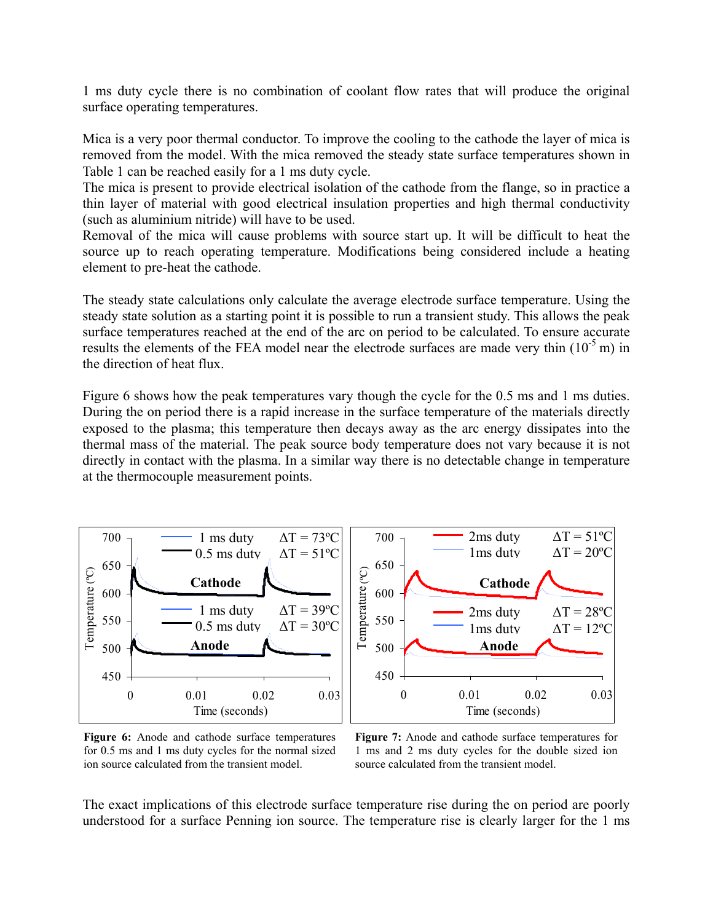1 ms duty cycle there is no combination of coolant flow rates that will produce the original surface operating temperatures.

Mica is a very poor thermal conductor. To improve the cooling to the cathode the layer of mica is removed from the model. With the mica removed the steady state surface temperatures shown in Table 1 can be reached easily for a 1 ms duty cycle.

The mica is present to provide electrical isolation of the cathode from the flange, so in practice a thin layer of material with good electrical insulation properties and high thermal conductivity (such as aluminium nitride) will have to be used.

Removal of the mica will cause problems with source start up. It will be difficult to heat the source up to reach operating temperature. Modifications being considered include a heating element to pre-heat the cathode.

The steady state calculations only calculate the average electrode surface temperature. Using the steady state solution as a starting point it is possible to run a transient study. This allows the peak surface temperatures reached at the end of the arc on period to be calculated. To ensure accurate results the elements of the FEA model near the electrode surfaces are made very thin  $(10^{-5} \text{ m})$  in the direction of heat flux.

Figure 6 shows how the peak temperatures vary though the cycle for the 0.5 ms and 1 ms duties. During the on period there is a rapid increase in the surface temperature of the materials directly exposed to the plasma; this temperature then decays away as the arc energy dissipates into the thermal mass of the material. The peak source body temperature does not vary because it is not directly in contact with the plasma. In a similar way there is no detectable change in temperature at the thermocouple measurement points.



**Figure 6:** Anode and cathode surface temperatures for 0.5 ms and 1 ms duty cycles for the normal sized ion source calculated from the transient model.

**Figure 7:** Anode and cathode surface temperatures for 1 ms and 2 ms duty cycles for the double sized ion source calculated from the transient model.

The exact implications of this electrode surface temperature rise during the on period are poorly understood for a surface Penning ion source. The temperature rise is clearly larger for the 1 ms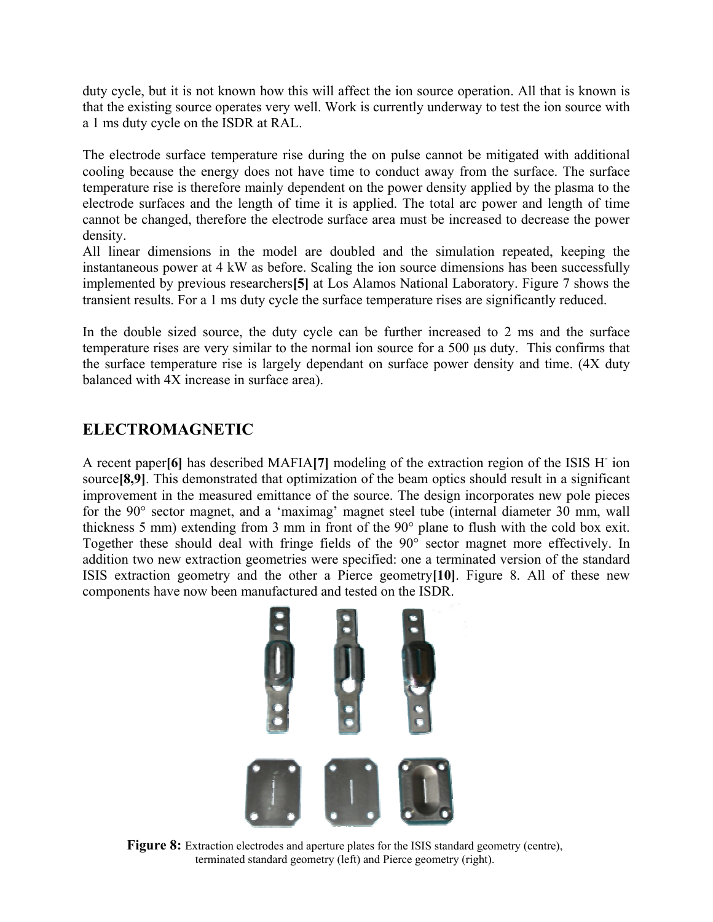duty cycle, but it is not known how this will affect the ion source operation. All that is known is that the existing source operates very well. Work is currently underway to test the ion source with a 1 ms duty cycle on the ISDR at RAL.

The electrode surface temperature rise during the on pulse cannot be mitigated with additional cooling because the energy does not have time to conduct away from the surface. The surface temperature rise is therefore mainly dependent on the power density applied by the plasma to the electrode surfaces and the length of time it is applied. The total arc power and length of time cannot be changed, therefore the electrode surface area must be increased to decrease the power density.

All linear dimensions in the model are doubled and the simulation repeated, keeping the instantaneous power at 4 kW as before. Scaling the ion source dimensions has been successfully implemented by previous researchers**[5]** at Los Alamos National Laboratory. Figure 7 shows the transient results. For a 1 ms duty cycle the surface temperature rises are significantly reduced.

In the double sized source, the duty cycle can be further increased to 2 ms and the surface temperature rises are very similar to the normal ion source for a 500 µs duty. This confirms that the surface temperature rise is largely dependant on surface power density and time. (4X duty balanced with 4X increase in surface area).

## **ELECTROMAGNETIC**

A recent paper**[6]** has described MAFIA**[7]** modeling of the extraction region of the ISIS H- ion source<sup>[8,9]</sup>. This demonstrated that optimization of the beam optics should result in a significant improvement in the measured emittance of the source. The design incorporates new pole pieces for the 90° sector magnet, and a 'maximag' magnet steel tube (internal diameter 30 mm, wall thickness 5 mm) extending from 3 mm in front of the 90° plane to flush with the cold box exit. Together these should deal with fringe fields of the 90° sector magnet more effectively. In addition two new extraction geometries were specified: one a terminated version of the standard ISIS extraction geometry and the other a Pierce geometry**[10]**. Figure 8. All of these new components have now been manufactured and tested on the ISDR.



**Figure 8:** Extraction electrodes and aperture plates for the ISIS standard geometry (centre), terminated standard geometry (left) and Pierce geometry (right).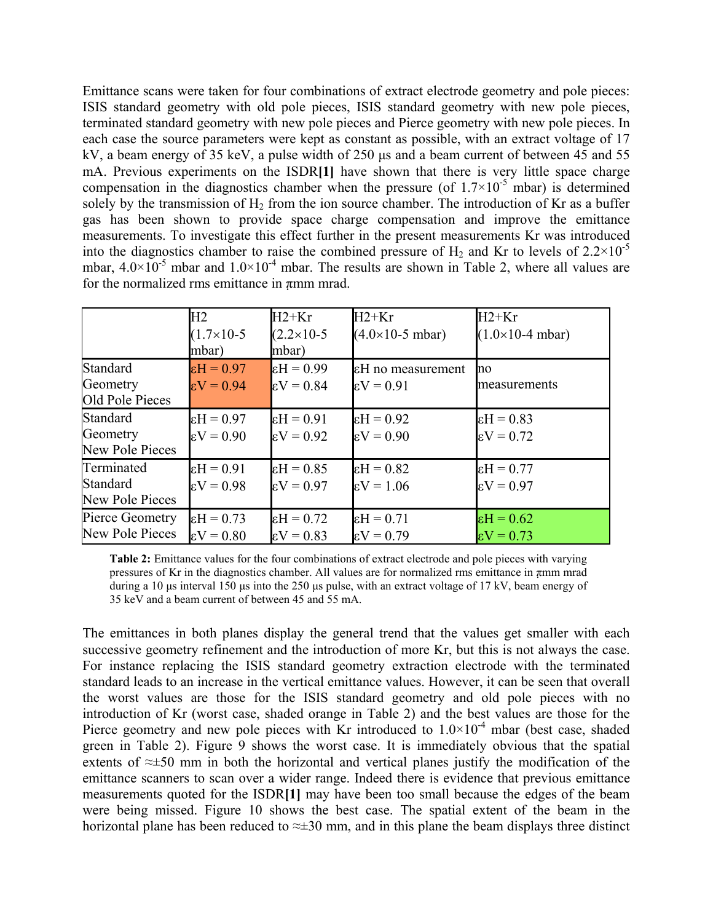Emittance scans were taken for four combinations of extract electrode geometry and pole pieces: ISIS standard geometry with old pole pieces, ISIS standard geometry with new pole pieces, terminated standard geometry with new pole pieces and Pierce geometry with new pole pieces. In each case the source parameters were kept as constant as possible, with an extract voltage of 17 kV, a beam energy of 35 keV, a pulse width of 250 µs and a beam current of between 45 and 55 mA. Previous experiments on the ISDR**[1]** have shown that there is very little space charge compensation in the diagnostics chamber when the pressure (of  $1.7\times10^{-5}$  mbar) is determined solely by the transmission of  $H_2$  from the ion source chamber. The introduction of Kr as a buffer gas has been shown to provide space charge compensation and improve the emittance measurements. To investigate this effect further in the present measurements Kr was introduced into the diagnostics chamber to raise the combined pressure of  $H_2$  and Kr to levels of 2.2×10<sup>-5</sup> mbar,  $4.0\times10^{-5}$  mbar and  $1.0\times10^{-4}$  mbar. The results are shown in Table 2, where all values are for the normalized rms emittance in  $\pi$ mm mrad.

|                 | H2                  | $H2+Kr$               | $H2+Kr$                            | $H2+Kr$                            |
|-----------------|---------------------|-----------------------|------------------------------------|------------------------------------|
|                 | $(1.7\times10-5)$   | $(2.2 \times 10 - 5)$ | $(4.0 \times 10 - 5 \text{ mbar})$ | $(1.0 \times 10 - 4 \text{ mbar})$ |
|                 | mbar)               | mbar)                 |                                    |                                    |
| Standard        | $\epsilon H = 0.97$ | $\epsilon$ H = 0.99   | εH no measurement                  | no                                 |
| Geometry        | $\epsilon V = 0.94$ | $\epsilon V = 0.84$   | $\epsilon V = 0.91$                | measurements                       |
| Old Pole Pieces |                     |                       |                                    |                                    |
| <b>Standard</b> | $\epsilon H = 0.97$ | $E = 0.91$            | $\epsilon H = 0.92$                | $\epsilon H = 0.83$                |
| Geometry        | $\epsilon V = 0.90$ | $\epsilon V = 0.92$   | $\epsilon V = 0.90$                | $\epsilon V = 0.72$                |
| New Pole Pieces |                     |                       |                                    |                                    |
| Terminated      | $\epsilon H = 0.91$ | $\epsilon$ H = 0.85   | $\epsilon$ H = 0.82                | $\epsilon$ H = 0.77                |
| <b>Standard</b> | $\epsilon V = 0.98$ | $\epsilon V = 0.97$   | $\epsilon V = 1.06$                | $\epsilon V = 0.97$                |
| New Pole Pieces |                     |                       |                                    |                                    |
| Pierce Geometry | $\epsilon H = 0.73$ | $\epsilon$ H = 0.72   | $\epsilon H = 0.71$                | $\epsilon$ H = 0.62                |
| New Pole Pieces | $\epsilon V = 0.80$ | $\epsilon V = 0.83$   | $\epsilon V = 0.79$                | $\epsilon V = 0.73$                |

**Table 2:** Emittance values for the four combinations of extract electrode and pole pieces with varying pressures of Kr in the diagnostics chamber. All values are for normalized rms emittance in πmm mrad during a 10 µs interval 150 µs into the 250 µs pulse, with an extract voltage of 17 kV, beam energy of 35 keV and a beam current of between 45 and 55 mA.

The emittances in both planes display the general trend that the values get smaller with each successive geometry refinement and the introduction of more Kr, but this is not always the case. For instance replacing the ISIS standard geometry extraction electrode with the terminated standard leads to an increase in the vertical emittance values. However, it can be seen that overall the worst values are those for the ISIS standard geometry and old pole pieces with no introduction of Kr (worst case, shaded orange in Table 2) and the best values are those for the Pierce geometry and new pole pieces with Kr introduced to  $1.0 \times 10^{-4}$  mbar (best case, shaded green in Table 2). Figure 9 shows the worst case. It is immediately obvious that the spatial extents of ≈±50 mm in both the horizontal and vertical planes justify the modification of the emittance scanners to scan over a wider range. Indeed there is evidence that previous emittance measurements quoted for the ISDR**[1]** may have been too small because the edges of the beam were being missed. Figure 10 shows the best case. The spatial extent of the beam in the horizontal plane has been reduced to  $\approx \pm 30$  mm, and in this plane the beam displays three distinct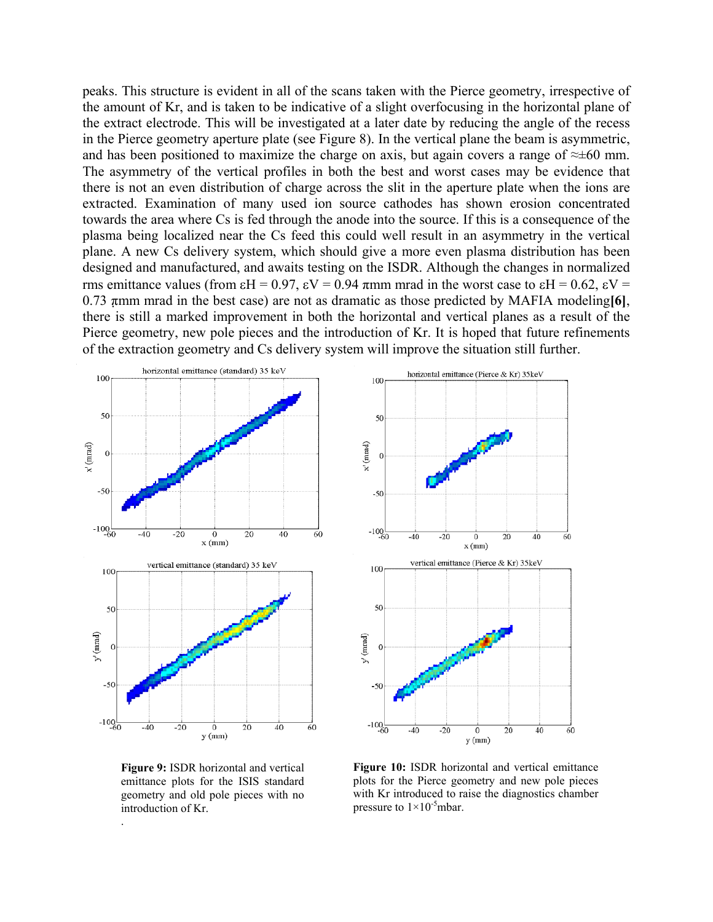peaks. This structure is evident in all of the scans taken with the Pierce geometry, irrespective of the amount of Kr, and is taken to be indicative of a slight overfocusing in the horizontal plane of the extract electrode. This will be investigated at a later date by reducing the angle of the recess in the Pierce geometry aperture plate (see Figure 8). In the vertical plane the beam is asymmetric, and has been positioned to maximize the charge on axis, but again covers a range of  $\approx \pm 60$  mm. The asymmetry of the vertical profiles in both the best and worst cases may be evidence that there is not an even distribution of charge across the slit in the aperture plate when the ions are extracted. Examination of many used ion source cathodes has shown erosion concentrated towards the area where Cs is fed through the anode into the source. If this is a consequence of the plasma being localized near the Cs feed this could well result in an asymmetry in the vertical plane. A new Cs delivery system, which should give a more even plasma distribution has been designed and manufactured, and awaits testing on the ISDR. Although the changes in normalized rms emittance values (from εH = 0.97, εV = 0.94 πmm mrad in the worst case to εH = 0.62, εV = 0.73 πmm mrad in the best case) are not as dramatic as those predicted by MAFIA modeling**[6]**, there is still a marked improvement in both the horizontal and vertical planes as a result of the Pierce geometry, new pole pieces and the introduction of Kr. It is hoped that future refinements of the extraction geometry and Cs delivery system will improve the situation still further.



horizontal emittance (Pierce & Kr) 35keV 100 50 x' (mrad)  $\mathbf{0}$  $-50$  $-100$ <sub>-60</sub>  $-40$  $\overline{20}$ 40  $60$  $-20$  $\Omega$  $x$  (mm) vertical emittance (Pierce & Kr) 35keV 100 50 y' (mrad)  $-100 - 60$  $-20$  $40$  $-40$ 20 60 0  $y$  $(mm)$ 

**Figure 9:** ISDR horizontal and vertical emittance plots for the ISIS standard geometry and old pole pieces with no introduction of Kr.

.

**Figure 10:** ISDR horizontal and vertical emittance plots for the Pierce geometry and new pole pieces with Kr introduced to raise the diagnostics chamber pressure to  $1\times10^{-5}$ mbar.